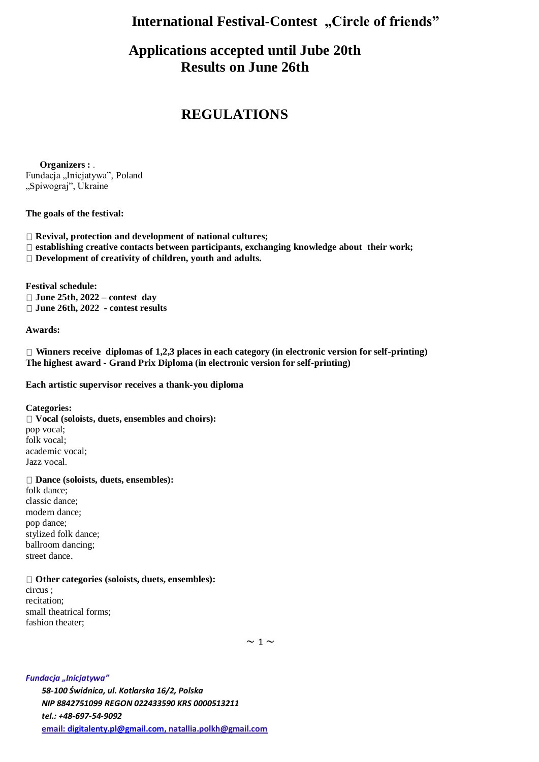## **International Festival-Contest** "Circle of friends"

# **Applications accepted until Jube 20th Results on June 26th**

## **REGULATIONS**

 **Organizers :** . Fundacja "Inicjatywa", Poland "Spiwograj", Ukraine

#### **The goals of the festival:**

- **Revival, protection and development of national cultures;**
- **establishing creative contacts between participants, exchanging knowledge about their work;**
- **Development of creativity of children, youth and adults.**

**Festival schedule: June 25th, 2022 – contest day June 26th, 2022 - contest results**

#### **Awards:**

**Winners receive diplomas of 1,2,3 places in each category (in electronic version for self-printing) The highest award - Grand Prix Diploma (in electronic version for self-printing)**

#### **Each artistic supervisor receives a thank-you diploma**

**Categories:**

**Vocal (soloists, duets, ensembles and choirs):** pop vocal; folk vocal; academic vocal; Jazz vocal.

#### **Dance (soloists, duets, ensembles):**

folk dance; classic dance; modern dance; pop dance; stylized folk dance; ballroom dancing; street dance.

#### **Other categories (soloists, duets, ensembles):**

circus ; recitation; small theatrical forms; fashion theater;

 $\sim$  1  $\sim$ 

*Fundacja "Inicjatywa" 58-100 Świdnica, ul. Kotlarska 16/2, Polska NIP 8842751099 REGON 022433590 KRS 0000513211 tel.: +48-697-54-9092* **email[: digitalenty.pl@gmail.com,](mailto:digitalenty.pl@gmail.com) [natallia.polkh@gmail.com](mailto:natallia.polkh@gmail.com)**